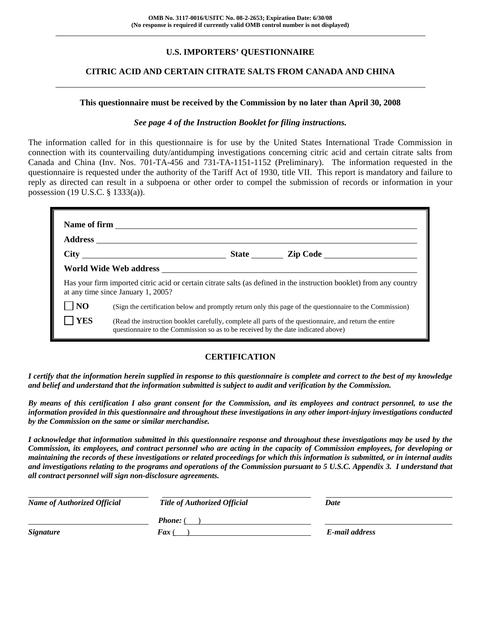## **U.S. IMPORTERS' QUESTIONNAIRE**

### **CITRIC ACID AND CERTAIN CITRATE SALTS FROM CANADA AND CHINA**

#### **This questionnaire must be received by the Commission by no later than April 30, 2008**

#### *See page 4 of the Instruction Booklet for filing instructions.*

The information called for in this questionnaire is for use by the United States International Trade Commission in connection with its countervailing duty/antidumping investigations concerning citric acid and certain citrate salts from Canada and China (Inv. Nos. 701-TA-456 and 731-TA-1151-1152 (Preliminary). The information requested in the questionnaire is requested under the authority of the Tariff Act of 1930, title VII. This report is mandatory and failure to reply as directed can result in a subpoena or other order to compel the submission of records or information in your possession (19 U.S.C. § 1333(a)).

|                | at any time since January 1, 2005?                                                                                                                                                           |  | Has your firm imported citric acid or certain citrate salts (as defined in the instruction booklet) from any country |  |  |  |
|----------------|----------------------------------------------------------------------------------------------------------------------------------------------------------------------------------------------|--|----------------------------------------------------------------------------------------------------------------------|--|--|--|
| N <sub>O</sub> |                                                                                                                                                                                              |  | (Sign the certification below and promptly return only this page of the questionnaire to the Commission)             |  |  |  |
| <b>YES</b>     | (Read the instruction booklet carefully, complete all parts of the questionnaire, and return the entire<br>questionnaire to the Commission so as to be received by the date indicated above) |  |                                                                                                                      |  |  |  |

### **CERTIFICATION**

*I certify that the information herein supplied in response to this questionnaire is complete and correct to the best of my knowledge and belief and understand that the information submitted is subject to audit and verification by the Commission.* 

*By means of this certification I also grant consent for the Commission, and its employees and contract personnel, to use the information provided in this questionnaire and throughout these investigations in any other import-injury investigations conducted by the Commission on the same or similar merchandise.* 

*I acknowledge that information submitted in this questionnaire response and throughout these investigations may be used by the Commission, its employees, and contract personnel who are acting in the capacity of Commission employees, for developing or maintaining the records of these investigations or related proceedings for which this information is submitted, or in internal audits and investigations relating to the programs and operations of the Commission pursuant to 5 U.S.C. Appendix 3. I understand that all contract personnel will sign non-disclosure agreements.* 

| <b>Name of Authorized Official</b> | <b>Title of Authorized Official</b> | Date           |  |
|------------------------------------|-------------------------------------|----------------|--|
|                                    | <b>Phone:</b> (                     |                |  |
| <b>Signature</b>                   | <b>Fax</b> (                        | E-mail address |  |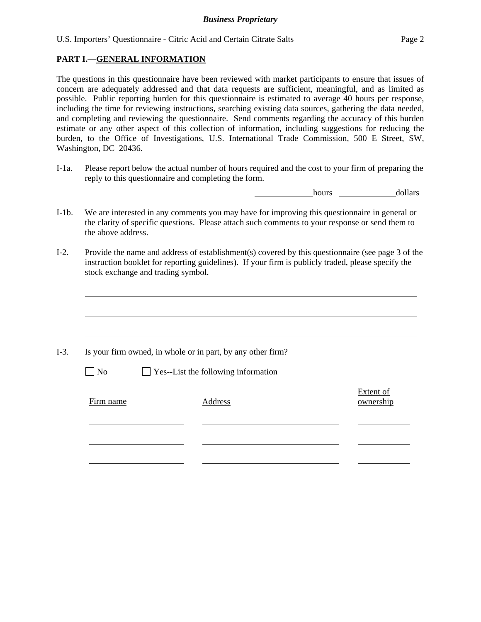#### **PART I.—GENERAL INFORMATION**

The questions in this questionnaire have been reviewed with market participants to ensure that issues of concern are adequately addressed and that data requests are sufficient, meaningful, and as limited as possible. Public reporting burden for this questionnaire is estimated to average 40 hours per response, including the time for reviewing instructions, searching existing data sources, gathering the data needed, and completing and reviewing the questionnaire. Send comments regarding the accuracy of this burden estimate or any other aspect of this collection of information, including suggestions for reducing the burden, to the Office of Investigations, U.S. International Trade Commission, 500 E Street, SW, Washington, DC 20436.

I-1a. Please report below the actual number of hours required and the cost to your firm of preparing the reply to this questionnaire and completing the form.

hours dollars

- I-1b. We are interested in any comments you may have for improving this questionnaire in general or the clarity of specific questions. Please attach such comments to your response or send them to the above address.
- I-2. Provide the name and address of establishment(s) covered by this questionnaire (see page 3 of the instruction booklet for reporting guidelines). If your firm is publicly traded, please specify the stock exchange and trading symbol.

|           | Is your firm owned, in whole or in part, by any other firm? |                        |
|-----------|-------------------------------------------------------------|------------------------|
| $\neg$ No | $\Box$ Yes--List the following information                  |                        |
| Firm name | Address                                                     | Extent of<br>ownership |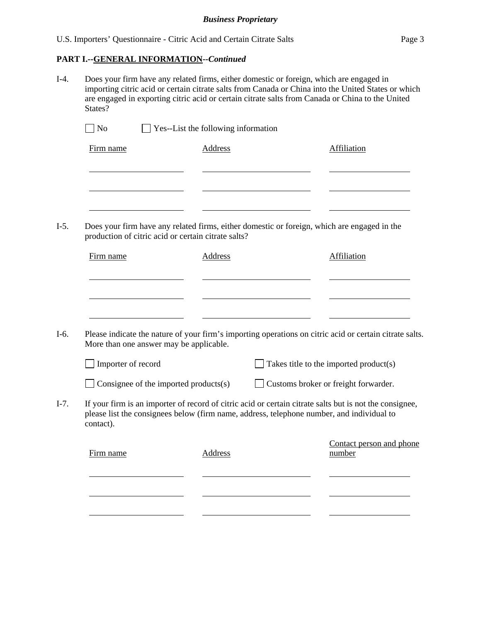#### **PART I.--GENERAL INFORMATION***--Continued*

I-4. Does your firm have any related firms, either domestic or foreign, which are engaged in importing citric acid or certain citrate salts from Canada or China into the United States or which are engaged in exporting citric acid or certain citrate salts from Canada or China to the United States?

| $\Box$ No | $\Box$ Yes--List the following information |             |
|-----------|--------------------------------------------|-------------|
| Firm name | Address                                    | Affiliation |
|           |                                            |             |
|           |                                            |             |
|           |                                            |             |
|           |                                            |             |

I-5. Does your firm have any related firms, either domestic or foreign, which are engaged in the production of citric acid or certain citrate salts?

| Firm name | <b>Address</b> | Affiliation |
|-----------|----------------|-------------|
|           |                |             |
|           |                |             |
|           |                |             |
|           |                |             |

I-6. Please indicate the nature of your firm's importing operations on citric acid or certain citrate salts. More than one answer may be applicable.

| Consignee of the imported products $(s)$ | Customs broker or freight forwarder. |
|------------------------------------------|--------------------------------------|
|------------------------------------------|--------------------------------------|

I-7. If your firm is an importer of record of citric acid or certain citrate salts but is not the consignee, please list the consignees below (firm name, address, telephone number, and individual to contact).

| Firm name | Address | Contact person and phone<br>number |
|-----------|---------|------------------------------------|
|           |         |                                    |
|           |         |                                    |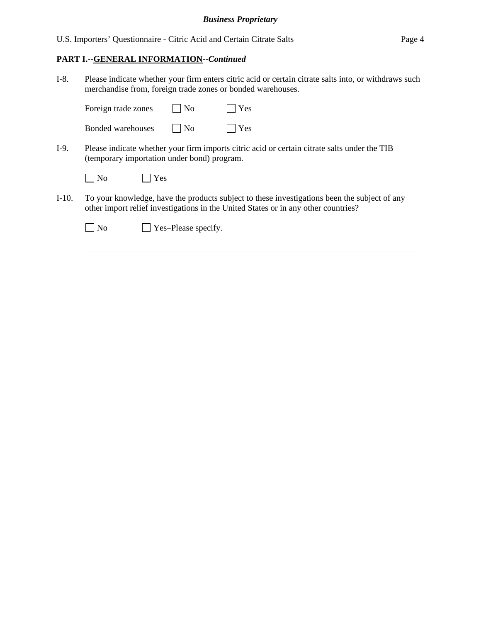U.S. Importers' Questionnaire - Citric Acid and Certain Citrate Salts Page 4

## **PART I.--GENERAL INFORMATION***--Continued*

I-8. Please indicate whether your firm enters citric acid or certain citrate salts into, or withdraws such merchandise from, foreign trade zones or bonded warehouses.

|         | Foreign trade zones |     | N <sub>0</sub>                              | Yes                                                                                                                                                                                |
|---------|---------------------|-----|---------------------------------------------|------------------------------------------------------------------------------------------------------------------------------------------------------------------------------------|
|         | Bonded warehouses   |     | N <sub>0</sub>                              | Yes                                                                                                                                                                                |
| I-9.    |                     |     | (temporary importation under bond) program. | Please indicate whether your firm imports citric acid or certain citrate salts under the TIB                                                                                       |
|         | N <sub>o</sub>      | Yes |                                             |                                                                                                                                                                                    |
| $I-10.$ |                     |     |                                             | To your knowledge, have the products subject to these investigations been the subject of any<br>other import relief investigations in the United States or in any other countries? |
|         | N <sub>0</sub>      |     | Yes-Please specify.                         |                                                                                                                                                                                    |
|         |                     |     |                                             |                                                                                                                                                                                    |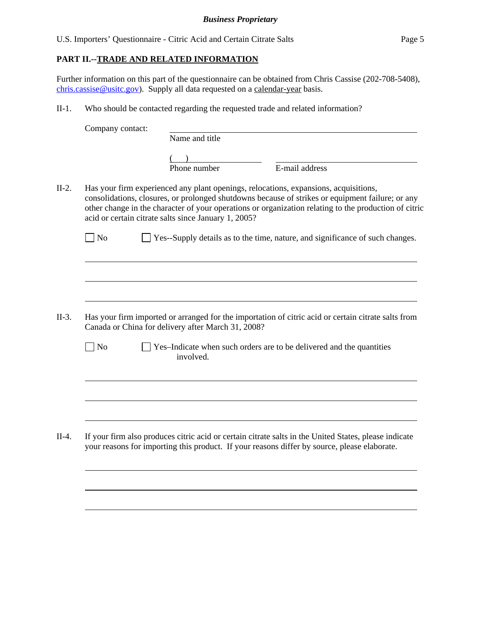### **PART II.--TRADE AND RELATED INFORMATION**

 $\overline{a}$ 

 $\overline{a}$ 

Further information on this part of the questionnaire can be obtained from Chris Cassise (202-708-5408), chris.cassise@usitc.gov). Supply all data requested on a calendar-year basis.

II-1. Who should be contacted regarding the requested trade and related information?

| Company contact: |                                                                                                                                                                                                                                                                                                                                                           |                |  |
|------------------|-----------------------------------------------------------------------------------------------------------------------------------------------------------------------------------------------------------------------------------------------------------------------------------------------------------------------------------------------------------|----------------|--|
|                  | Name and title                                                                                                                                                                                                                                                                                                                                            |                |  |
|                  |                                                                                                                                                                                                                                                                                                                                                           |                |  |
|                  | Phone number                                                                                                                                                                                                                                                                                                                                              | E-mail address |  |
|                  | Has your firm experienced any plant openings, relocations, expansions, acquisitions,<br>consolidations, closures, or prolonged shutdowns because of strikes or equipment failure; or any<br>other change in the character of your operations or organization relating to the production of citric<br>acid or certain citrate salts since January 1, 2005? |                |  |
| <b>No</b>        | Yes--Supply details as to the time, nature, and significance of such changes.                                                                                                                                                                                                                                                                             |                |  |
|                  |                                                                                                                                                                                                                                                                                                                                                           |                |  |
|                  |                                                                                                                                                                                                                                                                                                                                                           |                |  |
|                  |                                                                                                                                                                                                                                                                                                                                                           |                |  |
|                  |                                                                                                                                                                                                                                                                                                                                                           |                |  |
|                  | Has your firm imported or arranged for the importation of citric acid or certain citrate salts from<br>Canada or China for delivery after March 31, 2008?                                                                                                                                                                                                 |                |  |
| N <sub>o</sub>   | Yes-Indicate when such orders are to be delivered and the quantities<br>involved.                                                                                                                                                                                                                                                                         |                |  |
|                  |                                                                                                                                                                                                                                                                                                                                                           |                |  |
|                  |                                                                                                                                                                                                                                                                                                                                                           |                |  |
|                  |                                                                                                                                                                                                                                                                                                                                                           |                |  |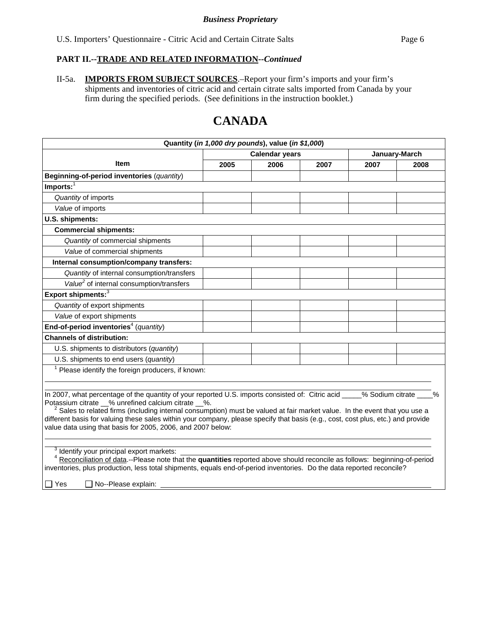II-5a. **IMPORTS FROM SUBJECT SOURCES**.–Report your firm's imports and your firm's shipments and inventories of citric acid and certain citrate salts imported from Canada by your firm during the specified periods. (See definitions in the instruction booklet.)

## **CANADA**

| Quantity (in 1,000 dry pounds), value (in \$1,000)                                                                                                                                                                                                                                                                                                                                                                                                                                                                          |                       |      |      |               |      |  |  |
|-----------------------------------------------------------------------------------------------------------------------------------------------------------------------------------------------------------------------------------------------------------------------------------------------------------------------------------------------------------------------------------------------------------------------------------------------------------------------------------------------------------------------------|-----------------------|------|------|---------------|------|--|--|
|                                                                                                                                                                                                                                                                                                                                                                                                                                                                                                                             | <b>Calendar years</b> |      |      | January-March |      |  |  |
| Item                                                                                                                                                                                                                                                                                                                                                                                                                                                                                                                        | 2005                  | 2006 | 2007 | 2007          | 2008 |  |  |
| Beginning-of-period inventories (quantity)                                                                                                                                                                                                                                                                                                                                                                                                                                                                                  |                       |      |      |               |      |  |  |
| $Imports:$ <sup>1</sup>                                                                                                                                                                                                                                                                                                                                                                                                                                                                                                     |                       |      |      |               |      |  |  |
| Quantity of imports                                                                                                                                                                                                                                                                                                                                                                                                                                                                                                         |                       |      |      |               |      |  |  |
| Value of imports                                                                                                                                                                                                                                                                                                                                                                                                                                                                                                            |                       |      |      |               |      |  |  |
| U.S. shipments:                                                                                                                                                                                                                                                                                                                                                                                                                                                                                                             |                       |      |      |               |      |  |  |
| <b>Commercial shipments:</b>                                                                                                                                                                                                                                                                                                                                                                                                                                                                                                |                       |      |      |               |      |  |  |
| Quantity of commercial shipments                                                                                                                                                                                                                                                                                                                                                                                                                                                                                            |                       |      |      |               |      |  |  |
| Value of commercial shipments                                                                                                                                                                                                                                                                                                                                                                                                                                                                                               |                       |      |      |               |      |  |  |
| Internal consumption/company transfers:                                                                                                                                                                                                                                                                                                                                                                                                                                                                                     |                       |      |      |               |      |  |  |
| Quantity of internal consumption/transfers                                                                                                                                                                                                                                                                                                                                                                                                                                                                                  |                       |      |      |               |      |  |  |
| Value <sup>2</sup> of internal consumption/transfers                                                                                                                                                                                                                                                                                                                                                                                                                                                                        |                       |      |      |               |      |  |  |
| Export shipments: <sup>3</sup>                                                                                                                                                                                                                                                                                                                                                                                                                                                                                              |                       |      |      |               |      |  |  |
| Quantity of export shipments                                                                                                                                                                                                                                                                                                                                                                                                                                                                                                |                       |      |      |               |      |  |  |
| Value of export shipments                                                                                                                                                                                                                                                                                                                                                                                                                                                                                                   |                       |      |      |               |      |  |  |
| End-of-period inventories <sup>4</sup> (quantity)                                                                                                                                                                                                                                                                                                                                                                                                                                                                           |                       |      |      |               |      |  |  |
| <b>Channels of distribution:</b>                                                                                                                                                                                                                                                                                                                                                                                                                                                                                            |                       |      |      |               |      |  |  |
| U.S. shipments to distributors (quantity)                                                                                                                                                                                                                                                                                                                                                                                                                                                                                   |                       |      |      |               |      |  |  |
| U.S. shipments to end users (quantity)                                                                                                                                                                                                                                                                                                                                                                                                                                                                                      |                       |      |      |               |      |  |  |
| $1$ Please identify the foreign producers, if known:                                                                                                                                                                                                                                                                                                                                                                                                                                                                        |                       |      |      |               |      |  |  |
|                                                                                                                                                                                                                                                                                                                                                                                                                                                                                                                             |                       |      |      |               |      |  |  |
| In 2007, what percentage of the quantity of your reported U.S. imports consisted of: Citric acid ____% Sodium citrate _<br>$\%$<br>Potassium citrate __% unrefined calcium citrate __%.<br>$^2$ Sales to related firms (including internal consumption) must be valued at fair market value. In the event that you use a<br>different basis for valuing these sales within your company, please specify that basis (e.g., cost, cost plus, etc.) and provide<br>value data using that basis for 2005, 2006, and 2007 below: |                       |      |      |               |      |  |  |
| <sup>3</sup> Identify your principal export markets:<br><sup>4</sup> Reconciliation of data.--Please note that the quantities reported above should reconcile as follows: beginning-of-period<br>inventories, plus production, less total shipments, equals end-of-period inventories. Do the data reported reconcile?<br>$\sqcap$ Yes<br>No--Please explain:                                                                                                                                                               |                       |      |      |               |      |  |  |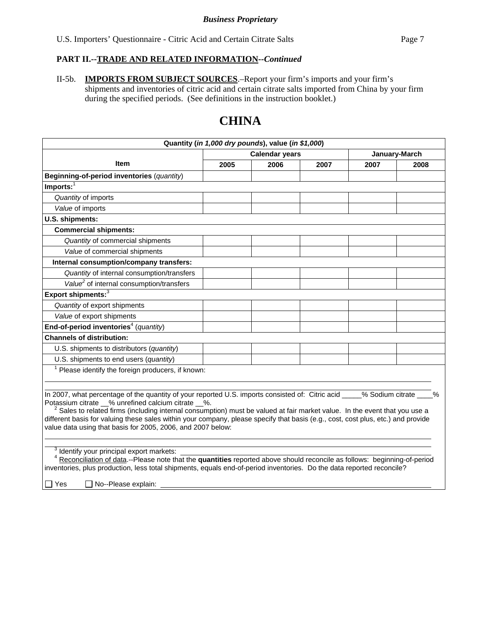II-5b. **IMPORTS FROM SUBJECT SOURCES**.–Report your firm's imports and your firm's shipments and inventories of citric acid and certain citrate salts imported from China by your firm during the specified periods. (See definitions in the instruction booklet.)

|                                                                                                                                                                                                                                                                                                                                                                                                                                                                                                                 |                       | Quantity (in 1,000 dry pounds), value (in \$1,000) |      |               |      |
|-----------------------------------------------------------------------------------------------------------------------------------------------------------------------------------------------------------------------------------------------------------------------------------------------------------------------------------------------------------------------------------------------------------------------------------------------------------------------------------------------------------------|-----------------------|----------------------------------------------------|------|---------------|------|
|                                                                                                                                                                                                                                                                                                                                                                                                                                                                                                                 | <b>Calendar years</b> |                                                    |      | January-March |      |
| <b>Item</b>                                                                                                                                                                                                                                                                                                                                                                                                                                                                                                     | 2005                  | 2006                                               | 2007 | 2007          | 2008 |
| Beginning-of-period inventories (quantity)                                                                                                                                                                                                                                                                                                                                                                                                                                                                      |                       |                                                    |      |               |      |
| $Imports:$ <sup>1</sup>                                                                                                                                                                                                                                                                                                                                                                                                                                                                                         |                       |                                                    |      |               |      |
| Quantity of imports                                                                                                                                                                                                                                                                                                                                                                                                                                                                                             |                       |                                                    |      |               |      |
| Value of imports                                                                                                                                                                                                                                                                                                                                                                                                                                                                                                |                       |                                                    |      |               |      |
| U.S. shipments:                                                                                                                                                                                                                                                                                                                                                                                                                                                                                                 |                       |                                                    |      |               |      |
| <b>Commercial shipments:</b>                                                                                                                                                                                                                                                                                                                                                                                                                                                                                    |                       |                                                    |      |               |      |
| Quantity of commercial shipments                                                                                                                                                                                                                                                                                                                                                                                                                                                                                |                       |                                                    |      |               |      |
| Value of commercial shipments                                                                                                                                                                                                                                                                                                                                                                                                                                                                                   |                       |                                                    |      |               |      |
| Internal consumption/company transfers:                                                                                                                                                                                                                                                                                                                                                                                                                                                                         |                       |                                                    |      |               |      |
| Quantity of internal consumption/transfers                                                                                                                                                                                                                                                                                                                                                                                                                                                                      |                       |                                                    |      |               |      |
| Value <sup>2</sup> of internal consumption/transfers                                                                                                                                                                                                                                                                                                                                                                                                                                                            |                       |                                                    |      |               |      |
| Export shipments: <sup>3</sup>                                                                                                                                                                                                                                                                                                                                                                                                                                                                                  |                       |                                                    |      |               |      |
| Quantity of export shipments                                                                                                                                                                                                                                                                                                                                                                                                                                                                                    |                       |                                                    |      |               |      |
| Value of export shipments                                                                                                                                                                                                                                                                                                                                                                                                                                                                                       |                       |                                                    |      |               |      |
| End-of-period inventories <sup>4</sup> (quantity)                                                                                                                                                                                                                                                                                                                                                                                                                                                               |                       |                                                    |      |               |      |
| <b>Channels of distribution:</b>                                                                                                                                                                                                                                                                                                                                                                                                                                                                                |                       |                                                    |      |               |      |
| U.S. shipments to distributors (quantity)                                                                                                                                                                                                                                                                                                                                                                                                                                                                       |                       |                                                    |      |               |      |
| U.S. shipments to end users (quantity)                                                                                                                                                                                                                                                                                                                                                                                                                                                                          |                       |                                                    |      |               |      |
| $1$ Please identify the foreign producers, if known:                                                                                                                                                                                                                                                                                                                                                                                                                                                            |                       |                                                    |      |               |      |
|                                                                                                                                                                                                                                                                                                                                                                                                                                                                                                                 |                       |                                                    |      |               |      |
| In 2007, what percentage of the quantity of your reported U.S. imports consisted of: Citric acid ____% Sodium citrate ___%<br>Potassium citrate _% unrefined calcium citrate _%.<br>Sales to related firms (including internal consumption) must be valued at fair market value. In the event that you use a<br>different basis for valuing these sales within your company, please specify that basis (e.g., cost, cost plus, etc.) and provide<br>value data using that basis for 2005, 2006, and 2007 below: |                       |                                                    |      |               |      |
| $3$ Identify your principal export markets:<br><sup>4</sup> Reconciliation of data .-- Please note that the quantities reported above should reconcile as follows: beginning-of-period<br>inventories, plus production, less total shipments, equals end-of-period inventories. Do the data reported reconcile?<br>$\Box$ Yes<br>No--Please explain:                                                                                                                                                            |                       |                                                    |      |               |      |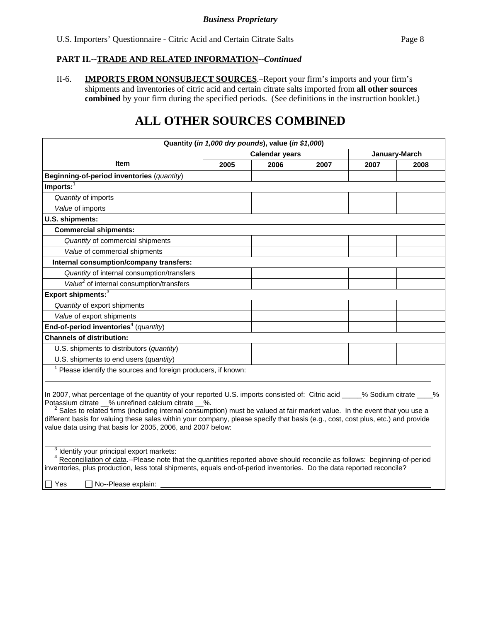II-6. **IMPORTS FROM NONSUBJECT SOURCES**.–Report your firm's imports and your firm's shipments and inventories of citric acid and certain citrate salts imported from **all other sources combined** by your firm during the specified periods. (See definitions in the instruction booklet.)

## **ALL OTHER SOURCES COMBINED**

| Quantity (in 1,000 dry pounds), value (in \$1,000)                                                                                                                                                                                                                                                                                                                                                                                                                                                              |                       |      |      |               |      |
|-----------------------------------------------------------------------------------------------------------------------------------------------------------------------------------------------------------------------------------------------------------------------------------------------------------------------------------------------------------------------------------------------------------------------------------------------------------------------------------------------------------------|-----------------------|------|------|---------------|------|
|                                                                                                                                                                                                                                                                                                                                                                                                                                                                                                                 | <b>Calendar years</b> |      |      | January-March |      |
| <b>Item</b>                                                                                                                                                                                                                                                                                                                                                                                                                                                                                                     | 2005                  | 2006 | 2007 | 2007          | 2008 |
| Beginning-of-period inventories (quantity)                                                                                                                                                                                                                                                                                                                                                                                                                                                                      |                       |      |      |               |      |
| $Imports:$ <sup>1</sup>                                                                                                                                                                                                                                                                                                                                                                                                                                                                                         |                       |      |      |               |      |
| Quantity of imports                                                                                                                                                                                                                                                                                                                                                                                                                                                                                             |                       |      |      |               |      |
| Value of imports                                                                                                                                                                                                                                                                                                                                                                                                                                                                                                |                       |      |      |               |      |
| U.S. shipments:                                                                                                                                                                                                                                                                                                                                                                                                                                                                                                 |                       |      |      |               |      |
| <b>Commercial shipments:</b>                                                                                                                                                                                                                                                                                                                                                                                                                                                                                    |                       |      |      |               |      |
| Quantity of commercial shipments                                                                                                                                                                                                                                                                                                                                                                                                                                                                                |                       |      |      |               |      |
| Value of commercial shipments                                                                                                                                                                                                                                                                                                                                                                                                                                                                                   |                       |      |      |               |      |
| Internal consumption/company transfers:                                                                                                                                                                                                                                                                                                                                                                                                                                                                         |                       |      |      |               |      |
| Quantity of internal consumption/transfers                                                                                                                                                                                                                                                                                                                                                                                                                                                                      |                       |      |      |               |      |
| Value <sup>2</sup> of internal consumption/transfers                                                                                                                                                                                                                                                                                                                                                                                                                                                            |                       |      |      |               |      |
| Export shipments: <sup>3</sup>                                                                                                                                                                                                                                                                                                                                                                                                                                                                                  |                       |      |      |               |      |
| Quantity of export shipments                                                                                                                                                                                                                                                                                                                                                                                                                                                                                    |                       |      |      |               |      |
| Value of export shipments                                                                                                                                                                                                                                                                                                                                                                                                                                                                                       |                       |      |      |               |      |
| End-of-period inventories <sup>4</sup> (quantity)                                                                                                                                                                                                                                                                                                                                                                                                                                                               |                       |      |      |               |      |
| <b>Channels of distribution:</b>                                                                                                                                                                                                                                                                                                                                                                                                                                                                                |                       |      |      |               |      |
| U.S. shipments to distributors (quantity)                                                                                                                                                                                                                                                                                                                                                                                                                                                                       |                       |      |      |               |      |
| U.S. shipments to end users (quantity)                                                                                                                                                                                                                                                                                                                                                                                                                                                                          |                       |      |      |               |      |
| $1$ Please identify the sources and foreign producers, if known:                                                                                                                                                                                                                                                                                                                                                                                                                                                |                       |      |      |               |      |
|                                                                                                                                                                                                                                                                                                                                                                                                                                                                                                                 |                       |      |      |               |      |
| In 2007, what percentage of the quantity of your reported U.S. imports consisted of: Citric acid ____% Sodium citrate<br>Potassium citrate _% unrefined calcium citrate _%.<br>$^2$ Sales to related firms (including internal consumption) must be valued at fair market value. In the event that you use a<br>different basis for valuing these sales within your company, please specify that basis (e.g., cost, cost plus, etc.) and provide<br>value data using that basis for 2005, 2006, and 2007 below: |                       |      |      |               |      |
| <sup>3</sup> Identify your principal export markets:<br><sup>4</sup> Reconciliation of data.--Please note that the quantities reported above should reconcile as follows: beginning-of-period<br>inventories, plus production, less total shipments, equals end-of-period inventories. Do the data reported reconcile?<br>l Yes<br>No--Please explain:                                                                                                                                                          |                       |      |      |               |      |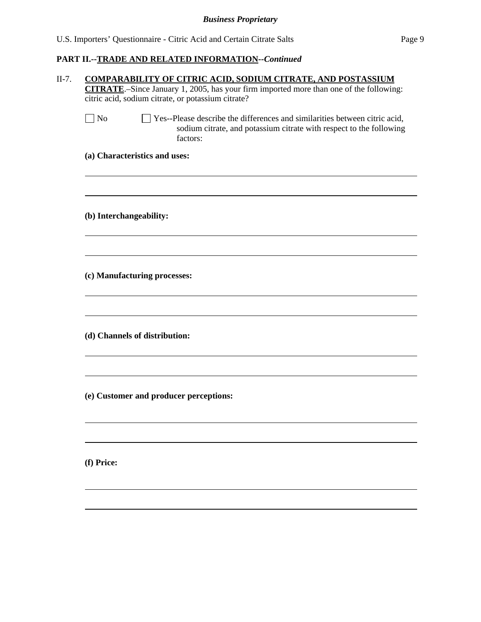| citric acid, sodium citrate, or potassium citrate?<br>$\Box$ No<br>Yes--Please describe the differences and similarities between citric acid,<br>sodium citrate, and potassium citrate with respect to the following<br>factors:<br>(a) Characteristics and uses:<br>(b) Interchangeability:<br>(c) Manufacturing processes:<br>(d) Channels of distribution:<br>(e) Customer and producer perceptions:<br>(f) Price: |
|-----------------------------------------------------------------------------------------------------------------------------------------------------------------------------------------------------------------------------------------------------------------------------------------------------------------------------------------------------------------------------------------------------------------------|
|                                                                                                                                                                                                                                                                                                                                                                                                                       |
|                                                                                                                                                                                                                                                                                                                                                                                                                       |
|                                                                                                                                                                                                                                                                                                                                                                                                                       |
|                                                                                                                                                                                                                                                                                                                                                                                                                       |
|                                                                                                                                                                                                                                                                                                                                                                                                                       |
|                                                                                                                                                                                                                                                                                                                                                                                                                       |
|                                                                                                                                                                                                                                                                                                                                                                                                                       |
|                                                                                                                                                                                                                                                                                                                                                                                                                       |
|                                                                                                                                                                                                                                                                                                                                                                                                                       |
|                                                                                                                                                                                                                                                                                                                                                                                                                       |
|                                                                                                                                                                                                                                                                                                                                                                                                                       |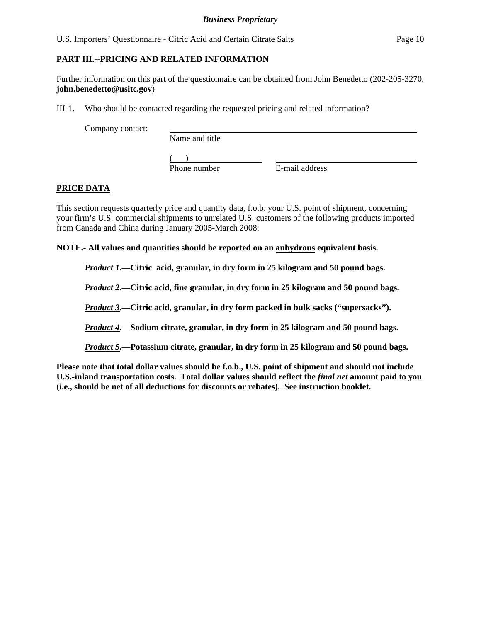U.S. Importers' Questionnaire - Citric Acid and Certain Citrate Salts Page 10

### **PART III.--PRICING AND RELATED INFORMATION**

Further information on this part of the questionnaire can be obtained from John Benedetto (202-205-3270, **john.benedetto@usitc.gov**)

III-1. Who should be contacted regarding the requested pricing and related information?

Company contact:

Name and title

 $($ 

Phone number E-mail address

## **PRICE DATA**

This section requests quarterly price and quantity data, f.o.b. your U.S. point of shipment, concerning your firm's U.S. commercial shipments to unrelated U.S. customers of the following products imported from Canada and China during January 2005-March 2008:

**NOTE.- All values and quantities should be reported on an anhydrous equivalent basis.** 

*Product 1***.—Citric acid, granular, in dry form in 25 kilogram and 50 pound bags.** 

*Product 2***.—Citric acid, fine granular, in dry form in 25 kilogram and 50 pound bags.** 

*Product 3***.—Citric acid, granular, in dry form packed in bulk sacks ("supersacks").** 

*Product 4***.—Sodium citrate, granular, in dry form in 25 kilogram and 50 pound bags.** 

*Product 5***.—Potassium citrate, granular, in dry form in 25 kilogram and 50 pound bags.** 

**Please note that total dollar values should be f.o.b., U.S. point of shipment and should not include U.S.-inland transportation costs. Total dollar values should reflect the** *final net* **amount paid to you (i.e., should be net of all deductions for discounts or rebates). See instruction booklet.**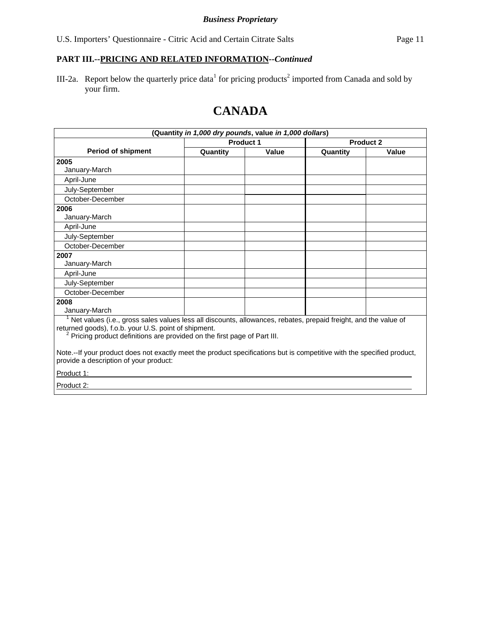III-2a. Report below the quarterly price data<sup>1</sup> for pricing products<sup>2</sup> imported from Canada and sold by your firm.

# **CANADA**

| (Quantity in 1,000 dry pounds, value in 1,000 dollars)                                                                                                                                                                                             |          |                  |          |           |
|----------------------------------------------------------------------------------------------------------------------------------------------------------------------------------------------------------------------------------------------------|----------|------------------|----------|-----------|
|                                                                                                                                                                                                                                                    |          | <b>Product 1</b> |          | Product 2 |
| <b>Period of shipment</b>                                                                                                                                                                                                                          | Quantity | Value            | Quantity | Value     |
| 2005                                                                                                                                                                                                                                               |          |                  |          |           |
| January-March                                                                                                                                                                                                                                      |          |                  |          |           |
| April-June                                                                                                                                                                                                                                         |          |                  |          |           |
| July-September                                                                                                                                                                                                                                     |          |                  |          |           |
| October-December                                                                                                                                                                                                                                   |          |                  |          |           |
| 2006                                                                                                                                                                                                                                               |          |                  |          |           |
| January-March                                                                                                                                                                                                                                      |          |                  |          |           |
| April-June                                                                                                                                                                                                                                         |          |                  |          |           |
| July-September                                                                                                                                                                                                                                     |          |                  |          |           |
| October-December                                                                                                                                                                                                                                   |          |                  |          |           |
| 2007                                                                                                                                                                                                                                               |          |                  |          |           |
| January-March                                                                                                                                                                                                                                      |          |                  |          |           |
| April-June                                                                                                                                                                                                                                         |          |                  |          |           |
| July-September                                                                                                                                                                                                                                     |          |                  |          |           |
| October-December                                                                                                                                                                                                                                   |          |                  |          |           |
| 2008                                                                                                                                                                                                                                               |          |                  |          |           |
| January-March                                                                                                                                                                                                                                      |          |                  |          |           |
| Net values (i.e., gross sales values less all discounts, allowances, rebates, prepaid freight, and the value of<br>returned goods), f.o.b. your U.S. point of shipment.<br>Pricing product definitions are provided on the first page of Part III. |          |                  |          |           |
| Note.--If your product does not exactly meet the product specifications but is competitive with the specified product,<br>provide a description of your product:                                                                                   |          |                  |          |           |
| Product 1:                                                                                                                                                                                                                                         |          |                  |          |           |

Product 2: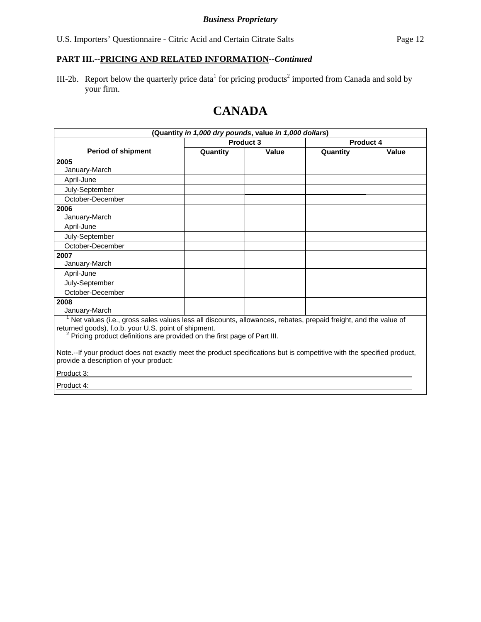III-2b. Report below the quarterly price data<sup>1</sup> for pricing products<sup>2</sup> imported from Canada and sold by your firm.

# **CANADA**

| (Quantity in 1,000 dry pounds, value in 1,000 dollars)                                                                                                           |          |           |          |           |
|------------------------------------------------------------------------------------------------------------------------------------------------------------------|----------|-----------|----------|-----------|
|                                                                                                                                                                  |          | Product 3 |          | Product 4 |
| <b>Period of shipment</b>                                                                                                                                        | Quantity | Value     | Quantity | Value     |
| 2005                                                                                                                                                             |          |           |          |           |
| January-March                                                                                                                                                    |          |           |          |           |
| April-June                                                                                                                                                       |          |           |          |           |
| July-September                                                                                                                                                   |          |           |          |           |
| October-December                                                                                                                                                 |          |           |          |           |
| 2006                                                                                                                                                             |          |           |          |           |
| January-March                                                                                                                                                    |          |           |          |           |
| April-June                                                                                                                                                       |          |           |          |           |
| July-September                                                                                                                                                   |          |           |          |           |
| October-December                                                                                                                                                 |          |           |          |           |
| 2007                                                                                                                                                             |          |           |          |           |
| January-March                                                                                                                                                    |          |           |          |           |
| April-June                                                                                                                                                       |          |           |          |           |
| July-September                                                                                                                                                   |          |           |          |           |
| October-December                                                                                                                                                 |          |           |          |           |
| 2008                                                                                                                                                             |          |           |          |           |
| January-March                                                                                                                                                    |          |           |          |           |
| Net values (i.e., gross sales values less all discounts, allowances, rebates, prepaid freight, and the value of                                                  |          |           |          |           |
| returned goods), f.o.b. your U.S. point of shipment.                                                                                                             |          |           |          |           |
| <sup>2</sup> Pricing product definitions are provided on the first page of Part III.                                                                             |          |           |          |           |
| Note.--If your product does not exactly meet the product specifications but is competitive with the specified product,<br>provide a description of your product: |          |           |          |           |
| <b>PUBLIC</b>                                                                                                                                                    |          |           |          |           |

Product 3:

Product 4: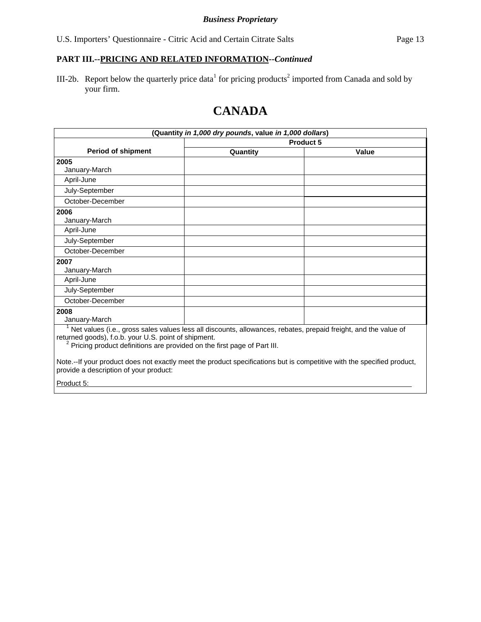III-2b. Report below the quarterly price data<sup>1</sup> for pricing products<sup>2</sup> imported from Canada and sold by your firm.

# **CANADA**

| (Quantity in 1,000 dry pounds, value in 1,000 dollars)                                                                                                           |                                                                                                                 |       |  |  |
|------------------------------------------------------------------------------------------------------------------------------------------------------------------|-----------------------------------------------------------------------------------------------------------------|-------|--|--|
|                                                                                                                                                                  | Product 5                                                                                                       |       |  |  |
| <b>Period of shipment</b>                                                                                                                                        | Quantity                                                                                                        | Value |  |  |
| 2005                                                                                                                                                             |                                                                                                                 |       |  |  |
| January-March                                                                                                                                                    |                                                                                                                 |       |  |  |
| April-June                                                                                                                                                       |                                                                                                                 |       |  |  |
| July-September                                                                                                                                                   |                                                                                                                 |       |  |  |
| October-December                                                                                                                                                 |                                                                                                                 |       |  |  |
| 2006                                                                                                                                                             |                                                                                                                 |       |  |  |
| January-March                                                                                                                                                    |                                                                                                                 |       |  |  |
| April-June                                                                                                                                                       |                                                                                                                 |       |  |  |
| July-September                                                                                                                                                   |                                                                                                                 |       |  |  |
| October-December                                                                                                                                                 |                                                                                                                 |       |  |  |
| 2007                                                                                                                                                             |                                                                                                                 |       |  |  |
| January-March                                                                                                                                                    |                                                                                                                 |       |  |  |
| April-June                                                                                                                                                       |                                                                                                                 |       |  |  |
| July-September                                                                                                                                                   |                                                                                                                 |       |  |  |
| October-December                                                                                                                                                 |                                                                                                                 |       |  |  |
| 2008                                                                                                                                                             |                                                                                                                 |       |  |  |
| January-March                                                                                                                                                    |                                                                                                                 |       |  |  |
| returned goods), f.o.b. your U.S. point of shipment.<br><sup>2</sup> Pricing product definitions are provided on the first page of Part III.                     | Net values (i.e., gross sales values less all discounts, allowances, rebates, prepaid freight, and the value of |       |  |  |
| Note.--If your product does not exactly meet the product specifications but is competitive with the specified product,<br>provide a description of your product: |                                                                                                                 |       |  |  |
| Product 5:                                                                                                                                                       |                                                                                                                 |       |  |  |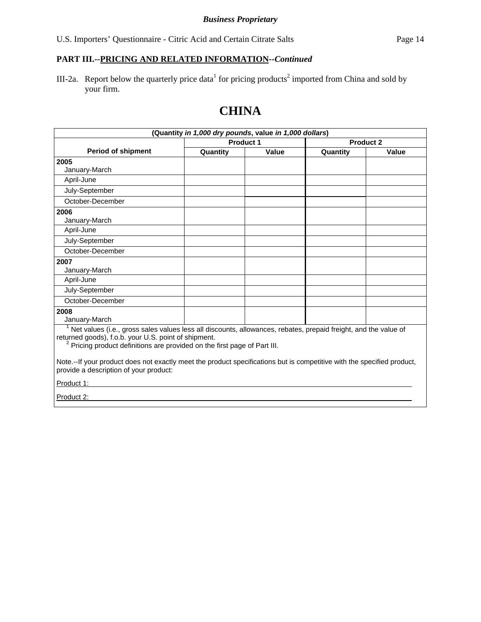III-2a. Report below the quarterly price data<sup>1</sup> for pricing products<sup>2</sup> imported from China and sold by your firm.

| (Quantity in 1,000 dry pounds, value in 1,000 dollars)                                                                                                                                                                                                              |          |                  |          |                  |
|---------------------------------------------------------------------------------------------------------------------------------------------------------------------------------------------------------------------------------------------------------------------|----------|------------------|----------|------------------|
|                                                                                                                                                                                                                                                                     |          | <b>Product 1</b> |          | <b>Product 2</b> |
| <b>Period of shipment</b>                                                                                                                                                                                                                                           | Quantity | Value            | Quantity | Value            |
| 2005                                                                                                                                                                                                                                                                |          |                  |          |                  |
| January-March                                                                                                                                                                                                                                                       |          |                  |          |                  |
| April-June                                                                                                                                                                                                                                                          |          |                  |          |                  |
| July-September                                                                                                                                                                                                                                                      |          |                  |          |                  |
| October-December                                                                                                                                                                                                                                                    |          |                  |          |                  |
| 2006                                                                                                                                                                                                                                                                |          |                  |          |                  |
| January-March                                                                                                                                                                                                                                                       |          |                  |          |                  |
| April-June                                                                                                                                                                                                                                                          |          |                  |          |                  |
| July-September                                                                                                                                                                                                                                                      |          |                  |          |                  |
| October-December                                                                                                                                                                                                                                                    |          |                  |          |                  |
| 2007                                                                                                                                                                                                                                                                |          |                  |          |                  |
| January-March                                                                                                                                                                                                                                                       |          |                  |          |                  |
| April-June                                                                                                                                                                                                                                                          |          |                  |          |                  |
| July-September                                                                                                                                                                                                                                                      |          |                  |          |                  |
| October-December                                                                                                                                                                                                                                                    |          |                  |          |                  |
| 2008                                                                                                                                                                                                                                                                |          |                  |          |                  |
| January-March                                                                                                                                                                                                                                                       |          |                  |          |                  |
| $1$ Net values (i.e., gross sales values less all discounts, allowances, rebates, prepaid freight, and the value of<br>returned goods), f.o.b. your U.S. point of shipment.<br><sup>2</sup> Pricing product definitions are provided on the first page of Part III. |          |                  |          |                  |
| Note.--If your product does not exactly meet the product specifications but is competitive with the specified product,<br>provide a description of your product:                                                                                                    |          |                  |          |                  |
| Product 1:                                                                                                                                                                                                                                                          |          |                  |          |                  |
| Product 2:                                                                                                                                                                                                                                                          |          |                  |          |                  |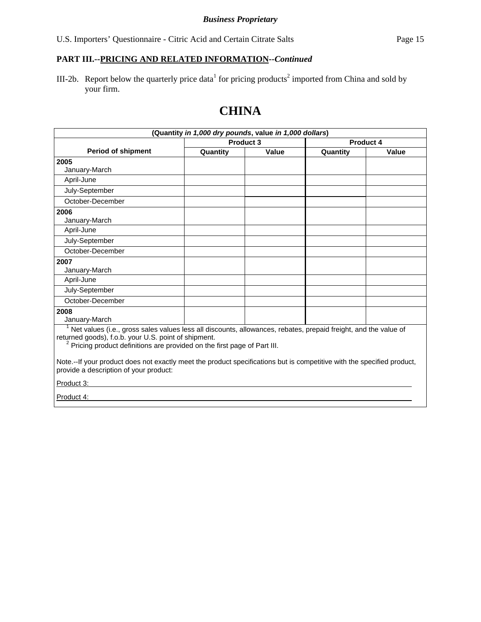III-2b. Report below the quarterly price data<sup>1</sup> for pricing products<sup>2</sup> imported from China and sold by your firm.

| (Quantity in 1,000 dry pounds, value in 1,000 dollars)                                                                                                                                                                                                          |          |                  |          |                  |
|-----------------------------------------------------------------------------------------------------------------------------------------------------------------------------------------------------------------------------------------------------------------|----------|------------------|----------|------------------|
|                                                                                                                                                                                                                                                                 |          | <b>Product 3</b> |          | <b>Product 4</b> |
| <b>Period of shipment</b>                                                                                                                                                                                                                                       | Quantity | Value            | Quantity | Value            |
| 2005                                                                                                                                                                                                                                                            |          |                  |          |                  |
| January-March                                                                                                                                                                                                                                                   |          |                  |          |                  |
| April-June                                                                                                                                                                                                                                                      |          |                  |          |                  |
| July-September                                                                                                                                                                                                                                                  |          |                  |          |                  |
| October-December                                                                                                                                                                                                                                                |          |                  |          |                  |
| 2006                                                                                                                                                                                                                                                            |          |                  |          |                  |
| January-March                                                                                                                                                                                                                                                   |          |                  |          |                  |
| April-June                                                                                                                                                                                                                                                      |          |                  |          |                  |
| July-September                                                                                                                                                                                                                                                  |          |                  |          |                  |
| October-December                                                                                                                                                                                                                                                |          |                  |          |                  |
| 2007                                                                                                                                                                                                                                                            |          |                  |          |                  |
| January-March                                                                                                                                                                                                                                                   |          |                  |          |                  |
| April-June                                                                                                                                                                                                                                                      |          |                  |          |                  |
| July-September                                                                                                                                                                                                                                                  |          |                  |          |                  |
| October-December                                                                                                                                                                                                                                                |          |                  |          |                  |
| 2008                                                                                                                                                                                                                                                            |          |                  |          |                  |
| January-March                                                                                                                                                                                                                                                   |          |                  |          |                  |
| Net values (i.e., gross sales values less all discounts, allowances, rebates, prepaid freight, and the value of<br>returned goods), f.o.b. your U.S. point of shipment.<br><sup>2</sup> Pricing product definitions are provided on the first page of Part III. |          |                  |          |                  |
| Note.--If your product does not exactly meet the product specifications but is competitive with the specified product,<br>provide a description of your product:                                                                                                |          |                  |          |                  |
| Product 3:                                                                                                                                                                                                                                                      |          |                  |          |                  |
| Product 4:                                                                                                                                                                                                                                                      |          |                  |          |                  |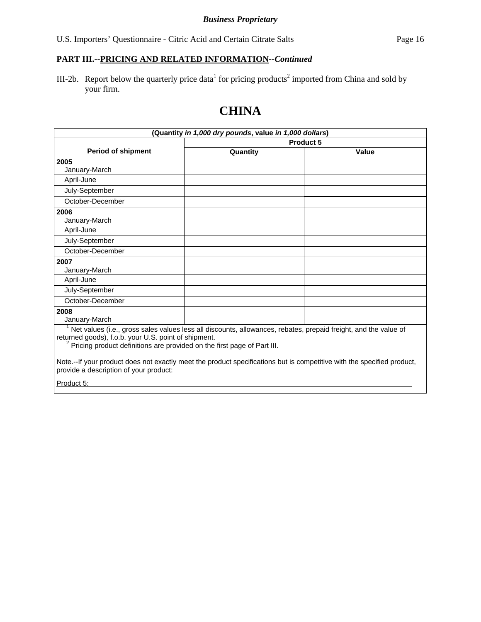III-2b. Report below the quarterly price data<sup>1</sup> for pricing products<sup>2</sup> imported from China and sold by your firm.

| (Quantity in 1,000 dry pounds, value in 1,000 dollars)                                                                                                           |                                                                                                                 |       |  |  |
|------------------------------------------------------------------------------------------------------------------------------------------------------------------|-----------------------------------------------------------------------------------------------------------------|-------|--|--|
|                                                                                                                                                                  | Product 5                                                                                                       |       |  |  |
| <b>Period of shipment</b>                                                                                                                                        | Quantity                                                                                                        | Value |  |  |
| 2005                                                                                                                                                             |                                                                                                                 |       |  |  |
| January-March                                                                                                                                                    |                                                                                                                 |       |  |  |
| April-June                                                                                                                                                       |                                                                                                                 |       |  |  |
| July-September                                                                                                                                                   |                                                                                                                 |       |  |  |
| October-December                                                                                                                                                 |                                                                                                                 |       |  |  |
| 2006                                                                                                                                                             |                                                                                                                 |       |  |  |
| January-March                                                                                                                                                    |                                                                                                                 |       |  |  |
| April-June                                                                                                                                                       |                                                                                                                 |       |  |  |
| July-September                                                                                                                                                   |                                                                                                                 |       |  |  |
| October-December                                                                                                                                                 |                                                                                                                 |       |  |  |
| 2007                                                                                                                                                             |                                                                                                                 |       |  |  |
| January-March                                                                                                                                                    |                                                                                                                 |       |  |  |
| April-June                                                                                                                                                       |                                                                                                                 |       |  |  |
| July-September                                                                                                                                                   |                                                                                                                 |       |  |  |
| October-December                                                                                                                                                 |                                                                                                                 |       |  |  |
| 2008                                                                                                                                                             |                                                                                                                 |       |  |  |
| January-March                                                                                                                                                    |                                                                                                                 |       |  |  |
| returned goods), f.o.b. your U.S. point of shipment.<br><sup>2</sup> Pricing product definitions are provided on the first page of Part III.                     | Net values (i.e., gross sales values less all discounts, allowances, rebates, prepaid freight, and the value of |       |  |  |
| Note.--If your product does not exactly meet the product specifications but is competitive with the specified product,<br>provide a description of your product: |                                                                                                                 |       |  |  |
| Product 5:                                                                                                                                                       |                                                                                                                 |       |  |  |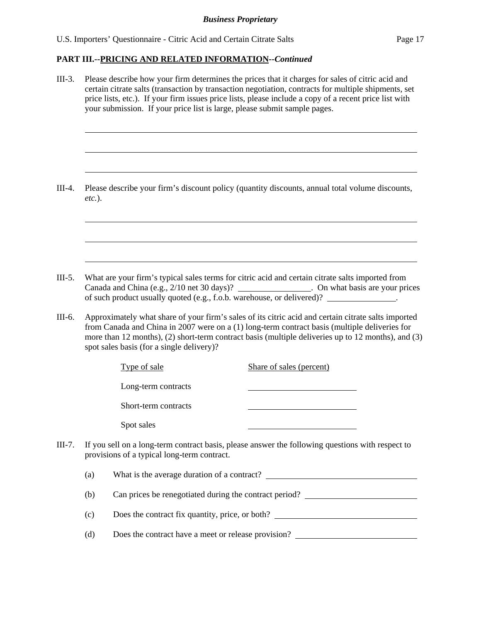$\overline{a}$ 

 $\overline{a}$ 

 $\overline{a}$ 

 $\overline{a}$ 

 $\overline{a}$ 

 $\overline{a}$ 

#### **PART III.--PRICING AND RELATED INFORMATION***--Continued*

III-3. Please describe how your firm determines the prices that it charges for sales of citric acid and certain citrate salts (transaction by transaction negotiation, contracts for multiple shipments, set price lists, etc.). If your firm issues price lists, please include a copy of a recent price list with your submission. If your price list is large, please submit sample pages.

III-4. Please describe your firm's discount policy (quantity discounts, annual total volume discounts, *etc.*).

III-5. What are your firm's typical sales terms for citric acid and certain citrate salts imported from Canada and China (e.g., 2/10 net 30 days)? . On what basis are your prices of such product usually quoted (e.g., f.o.b. warehouse, or delivered)? .

III-6. Approximately what share of your firm's sales of its citric acid and certain citrate salts imported from Canada and China in 2007 were on a (1) long-term contract basis (multiple deliveries for more than 12 months), (2) short-term contract basis (multiple deliveries up to 12 months), and (3) spot sales basis (for a single delivery)?

| Type of sale         | Share of sales (percent)                                                           |
|----------------------|------------------------------------------------------------------------------------|
| Long-term contracts  |                                                                                    |
| Short-term contracts |                                                                                    |
| Spot sales           |                                                                                    |
|                      | sell on a long-term contract basis, please answer the following questions with res |

III-7. If you sell on a long-term contract basis, please answer the following questions with respect to provisions of a typical long-term contract.

(a) What is the average duration of a contract?

(b) Can prices be renegotiated during the contract period?

(c) Does the contract fix quantity, price, or both?

(d) Does the contract have a meet or release provision?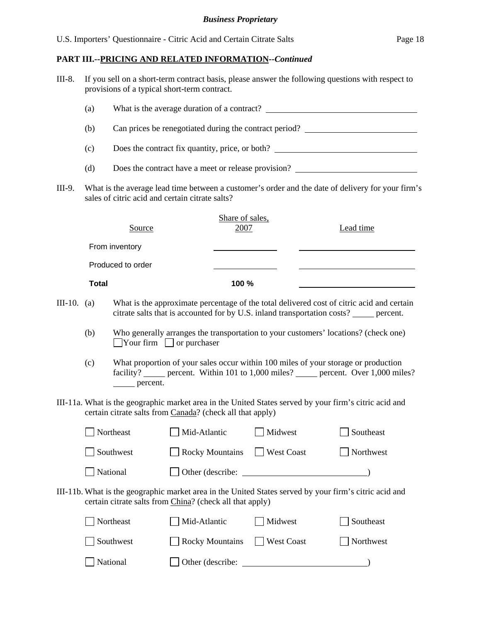| $III-8.$    | If you sell on a short-term contract basis, please answer the following questions with respect to<br>provisions of a typical short-term contract. |                                                           |                        |                         |            |                                                                                                                                                                                      |
|-------------|---------------------------------------------------------------------------------------------------------------------------------------------------|-----------------------------------------------------------|------------------------|-------------------------|------------|--------------------------------------------------------------------------------------------------------------------------------------------------------------------------------------|
|             | (a)                                                                                                                                               |                                                           |                        |                         |            |                                                                                                                                                                                      |
|             | (b)                                                                                                                                               |                                                           |                        |                         |            | Can prices be renegotiated during the contract period?                                                                                                                               |
|             | (c)                                                                                                                                               |                                                           |                        |                         |            | Does the contract fix quantity, price, or both?                                                                                                                                      |
|             | (d)                                                                                                                                               |                                                           |                        |                         |            | Does the contract have a meet or release provision?                                                                                                                                  |
| III-9.      |                                                                                                                                                   | sales of citric acid and certain citrate salts?           |                        |                         |            | What is the average lead time between a customer's order and the date of delivery for your firm's                                                                                    |
|             |                                                                                                                                                   | Source                                                    |                        | Share of sales,<br>2007 |            | Lead time                                                                                                                                                                            |
|             |                                                                                                                                                   | From inventory                                            |                        |                         |            |                                                                                                                                                                                      |
|             |                                                                                                                                                   | Produced to order                                         |                        |                         |            |                                                                                                                                                                                      |
|             | <b>Total</b>                                                                                                                                      |                                                           |                        | 100 %                   |            |                                                                                                                                                                                      |
| III-10. (a) |                                                                                                                                                   |                                                           |                        |                         |            | What is the approximate percentage of the total delivered cost of citric acid and certain<br>citrate salts that is accounted for by U.S. inland transportation costs? _____ percent. |
|             | (b)                                                                                                                                               | $\Box$ Your firm $\Box$ or purchaser                      |                        |                         |            | Who generally arranges the transportation to your customers' locations? (check one)                                                                                                  |
|             | (c)                                                                                                                                               | percent.                                                  |                        |                         |            | What proportion of your sales occur within 100 miles of your storage or production<br>facility? _____ percent. Within 101 to 1,000 miles? _____ percent. Over 1,000 miles?           |
|             |                                                                                                                                                   | certain citrate salts from Canada? (check all that apply) |                        |                         |            | III-11a. What is the geographic market area in the United States served by your firm's citric acid and                                                                               |
|             |                                                                                                                                                   | Northeast                                                 | Mid-Atlantic           |                         | Midwest    | Southeast                                                                                                                                                                            |
|             |                                                                                                                                                   | Southwest                                                 | <b>Rocky Mountains</b> |                         | West Coast | Northwest                                                                                                                                                                            |
|             |                                                                                                                                                   | National                                                  | Other (describe:       |                         |            |                                                                                                                                                                                      |
|             |                                                                                                                                                   | certain citrate salts from China? (check all that apply)  |                        |                         |            | III-11b. What is the geographic market area in the United States served by your firm's citric acid and                                                                               |
|             |                                                                                                                                                   | Northeast                                                 | Mid-Atlantic           |                         | Midwest    | Southeast                                                                                                                                                                            |
|             |                                                                                                                                                   | Southwest                                                 | <b>Rocky Mountains</b> |                         | West Coast | Northwest                                                                                                                                                                            |
|             |                                                                                                                                                   | National                                                  | Other (describe:       |                         |            |                                                                                                                                                                                      |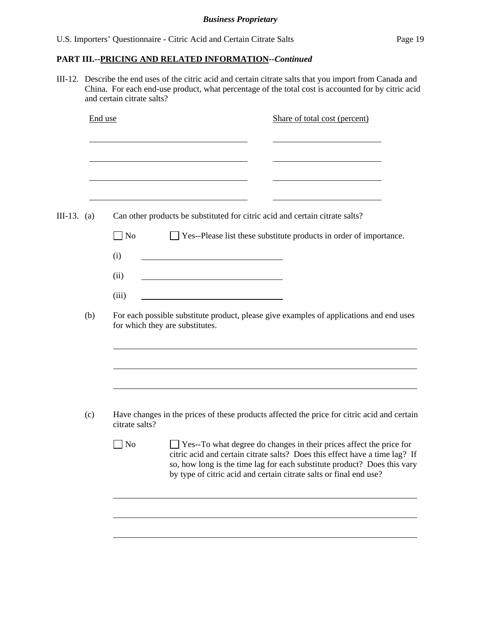III-12. Describe the end uses of the citric acid and certain citrate salts that you import from Canada and China. For each end-use product, what percentage of the total cost is accounted for by citric acid and certain citrate salts?

|             | End use |                | Share of total cost (percent)                                                                                                                                                                                                                                                                               |
|-------------|---------|----------------|-------------------------------------------------------------------------------------------------------------------------------------------------------------------------------------------------------------------------------------------------------------------------------------------------------------|
|             |         |                |                                                                                                                                                                                                                                                                                                             |
| III-13. (a) |         |                | Can other products be substituted for citric acid and certain citrate salts?                                                                                                                                                                                                                                |
|             |         | $\Box$ No      | □ Yes--Please list these substitute products in order of importance.                                                                                                                                                                                                                                        |
|             |         | (i)            |                                                                                                                                                                                                                                                                                                             |
|             |         | (ii)           |                                                                                                                                                                                                                                                                                                             |
|             |         | (iii)          |                                                                                                                                                                                                                                                                                                             |
| (b)         |         |                | For each possible substitute product, please give examples of applications and end uses<br>for which they are substitutes.                                                                                                                                                                                  |
|             |         |                |                                                                                                                                                                                                                                                                                                             |
|             |         |                |                                                                                                                                                                                                                                                                                                             |
|             | (c)     | citrate salts? | Have changes in the prices of these products affected the price for citric acid and certain                                                                                                                                                                                                                 |
|             |         | $\Box$ No      | $\Box$ Yes--To what degree do changes in their prices affect the price for<br>citric acid and certain citrate salts? Does this effect have a time lag? If<br>so, how long is the time lag for each substitute product? Does this vary<br>by type of citric acid and certain citrate salts or final end use? |
|             |         |                |                                                                                                                                                                                                                                                                                                             |
|             |         |                |                                                                                                                                                                                                                                                                                                             |
|             |         |                |                                                                                                                                                                                                                                                                                                             |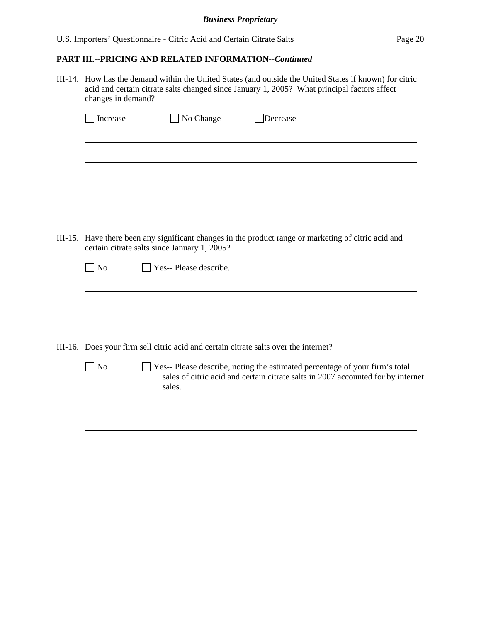#### *Business Proprietary*

## **PART III.--PRICING AND RELATED INFORMATION***--Continued*

III-14. How has the demand within the United States (and outside the United States if known) for citric acid and certain citrate salts changed since January 1, 2005? What principal factors affect changes in demand?

| Increase                                                                                                                                             | No Change<br>Decrease                                                                                                                                                     |  |  |  |  |
|------------------------------------------------------------------------------------------------------------------------------------------------------|---------------------------------------------------------------------------------------------------------------------------------------------------------------------------|--|--|--|--|
|                                                                                                                                                      |                                                                                                                                                                           |  |  |  |  |
|                                                                                                                                                      |                                                                                                                                                                           |  |  |  |  |
|                                                                                                                                                      |                                                                                                                                                                           |  |  |  |  |
|                                                                                                                                                      |                                                                                                                                                                           |  |  |  |  |
|                                                                                                                                                      |                                                                                                                                                                           |  |  |  |  |
|                                                                                                                                                      |                                                                                                                                                                           |  |  |  |  |
| III-15. Have there been any significant changes in the product range or marketing of citric acid and<br>certain citrate salts since January 1, 2005? |                                                                                                                                                                           |  |  |  |  |
| $\Box$ No                                                                                                                                            | Yes-- Please describe.                                                                                                                                                    |  |  |  |  |
|                                                                                                                                                      |                                                                                                                                                                           |  |  |  |  |
|                                                                                                                                                      |                                                                                                                                                                           |  |  |  |  |
|                                                                                                                                                      |                                                                                                                                                                           |  |  |  |  |
|                                                                                                                                                      |                                                                                                                                                                           |  |  |  |  |
| III-16. Does your firm sell citric acid and certain citrate salts over the internet?                                                                 |                                                                                                                                                                           |  |  |  |  |
| N <sub>o</sub>                                                                                                                                       | Yes-- Please describe, noting the estimated percentage of your firm's total<br>sales of citric acid and certain citrate salts in 2007 accounted for by internet<br>sales. |  |  |  |  |
|                                                                                                                                                      |                                                                                                                                                                           |  |  |  |  |
|                                                                                                                                                      |                                                                                                                                                                           |  |  |  |  |
|                                                                                                                                                      |                                                                                                                                                                           |  |  |  |  |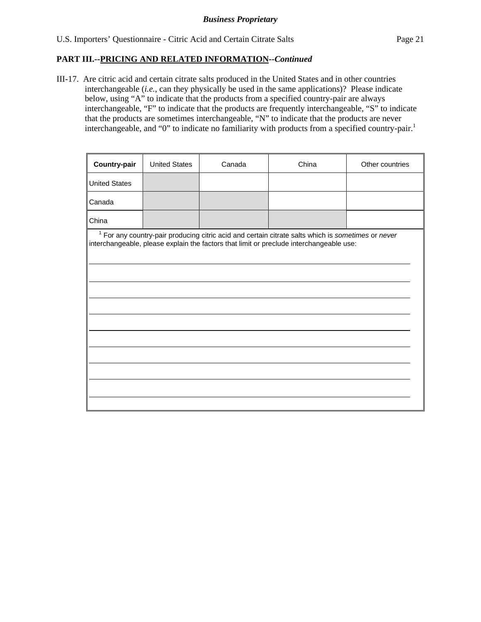III-17. Are citric acid and certain citrate salts produced in the United States and in other countries interchangeable (*i.e.*, can they physically be used in the same applications)? Please indicate below, using "A" to indicate that the products from a specified country-pair are always interchangeable, "F" to indicate that the products are frequently interchangeable, "S" to indicate that the products are sometimes interchangeable, "N" to indicate that the products are never interchangeable, and "0" to indicate no familiarity with products from a specified country-pair.<sup>1</sup>

| Country-pair                                                                                                                                                                                    | <b>United States</b> | Canada | China | Other countries |  |  |  |
|-------------------------------------------------------------------------------------------------------------------------------------------------------------------------------------------------|----------------------|--------|-------|-----------------|--|--|--|
| <b>United States</b>                                                                                                                                                                            |                      |        |       |                 |  |  |  |
| Canada                                                                                                                                                                                          |                      |        |       |                 |  |  |  |
| China                                                                                                                                                                                           |                      |        |       |                 |  |  |  |
| $1$ For any country-pair producing citric acid and certain citrate salts which is sometimes or never<br>interchangeable, please explain the factors that limit or preclude interchangeable use: |                      |        |       |                 |  |  |  |
|                                                                                                                                                                                                 |                      |        |       |                 |  |  |  |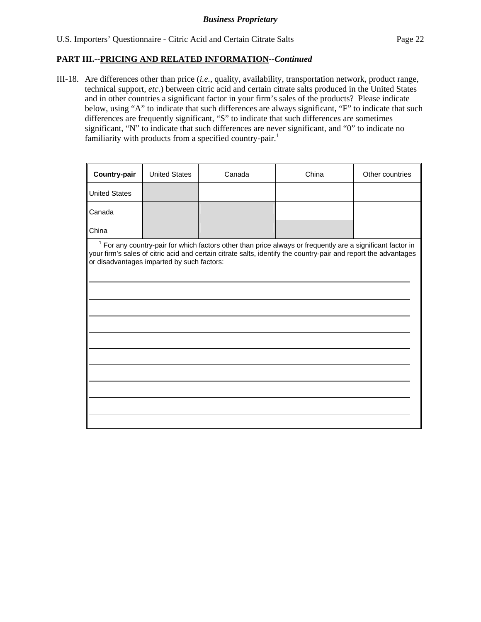III-18. Are differences other than price (*i.e.*, quality, availability, transportation network, product range, technical support, *etc.*) between citric acid and certain citrate salts produced in the United States and in other countries a significant factor in your firm's sales of the products? Please indicate below, using "A" to indicate that such differences are always significant, "F" to indicate that such differences are frequently significant, "S" to indicate that such differences are sometimes significant, "N" to indicate that such differences are never significant, and "0" to indicate no familiarity with products from a specified country-pair.<sup>1</sup>

| <b>Country-pair</b>                                                                                                                                                                                                                                                           | <b>United States</b> | Canada | China | Other countries |  |  |  |
|-------------------------------------------------------------------------------------------------------------------------------------------------------------------------------------------------------------------------------------------------------------------------------|----------------------|--------|-------|-----------------|--|--|--|
| <b>United States</b>                                                                                                                                                                                                                                                          |                      |        |       |                 |  |  |  |
| Canada                                                                                                                                                                                                                                                                        |                      |        |       |                 |  |  |  |
| China                                                                                                                                                                                                                                                                         |                      |        |       |                 |  |  |  |
| $1$ For any country-pair for which factors other than price always or frequently are a significant factor in<br>your firm's sales of citric acid and certain citrate salts, identify the country-pair and report the advantages<br>or disadvantages imparted by such factors: |                      |        |       |                 |  |  |  |
|                                                                                                                                                                                                                                                                               |                      |        |       |                 |  |  |  |